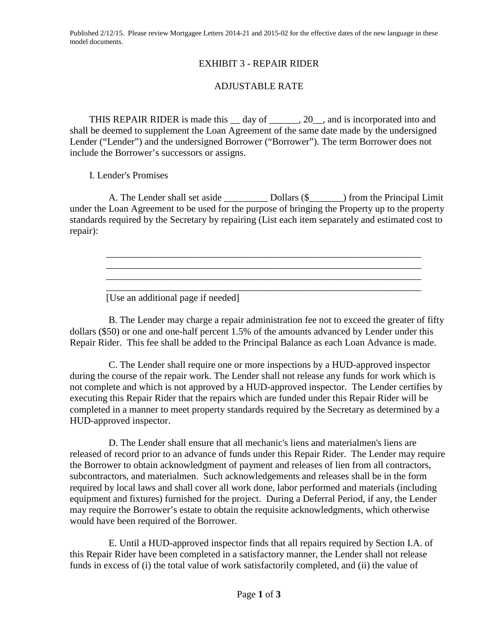Published 2/12/15. Please review Mortgagee Letters 2014-21 and 2015-02 for the effective dates of the new language in these model documents.

## EXHIBIT 3 - REPAIR RIDER

## ADJUSTABLE RATE

THIS REPAIR RIDER is made this \_\_ day of \_\_\_\_\_\_, 20\_\_, and is incorporated into and shall be deemed to supplement the Loan Agreement of the same date made by the undersigned Lender ("Lender") and the undersigned Borrower ("Borrower"). The term Borrower does not include the Borrower's successors or assigns.

I. Lender's Promises

A. The Lender shall set aside \_\_\_\_\_\_\_\_\_ Dollars (\$\_\_\_\_\_\_\_) from the Principal Limit under the Loan Agreement to be used for the purpose of bringing the Property up to the property standards required by the Secretary by repairing (List each item separately and estimated cost to repair):

\_\_\_\_\_\_\_\_\_\_\_\_\_\_\_\_\_\_\_\_\_\_\_\_\_\_\_\_\_\_\_\_\_\_\_\_\_\_\_\_\_\_\_\_\_\_\_\_\_\_\_\_\_\_\_\_\_\_\_\_\_\_\_\_\_

\_\_\_\_\_\_\_\_\_\_\_\_\_\_\_\_\_\_\_\_\_\_\_\_\_\_\_\_\_\_\_\_\_\_\_\_\_\_\_\_\_\_\_\_\_\_\_\_\_\_\_\_\_\_\_\_\_\_\_\_\_\_\_\_\_

\_\_\_\_\_\_\_\_\_\_\_\_\_\_\_\_\_\_\_\_\_\_\_\_\_\_\_\_\_\_\_\_\_\_\_\_\_\_\_\_\_\_\_\_\_\_\_\_\_\_\_\_\_\_\_\_\_\_\_\_\_\_\_\_\_ \_\_\_\_\_\_\_\_\_\_\_\_\_\_\_\_\_\_\_\_\_\_\_\_\_\_\_\_\_\_\_\_\_\_\_\_\_\_\_\_\_\_\_\_\_\_\_\_\_\_\_\_\_\_\_\_\_\_\_\_\_\_\_\_\_

[Use an additional page if needed]

B. The Lender may charge a repair administration fee not to exceed the greater of fifty dollars (\$50) or one and one-half percent 1.5% of the amounts advanced by Lender under this Repair Rider. This fee shall be added to the Principal Balance as each Loan Advance is made.

C. The Lender shall require one or more inspections by a HUD-approved inspector during the course of the repair work. The Lender shall not release any funds for work which is not complete and which is not approved by a HUD-approved inspector. The Lender certifies by executing this Repair Rider that the repairs which are funded under this Repair Rider will be completed in a manner to meet property standards required by the Secretary as determined by a HUD-approved inspector.

D. The Lender shall ensure that all mechanic's liens and materialmen's liens are released of record prior to an advance of funds under this Repair Rider. The Lender may require the Borrower to obtain acknowledgment of payment and releases of lien from all contractors, subcontractors, and materialmen. Such acknowledgements and releases shall be in the form required by local laws and shall cover all work done, labor performed and materials (including equipment and fixtures) furnished for the project. During a Deferral Period, if any, the Lender may require the Borrower's estate to obtain the requisite acknowledgments, which otherwise would have been required of the Borrower.

E. Until a HUD-approved inspector finds that all repairs required by Section I.A. of this Repair Rider have been completed in a satisfactory manner, the Lender shall not release funds in excess of (i) the total value of work satisfactorily completed, and (ii) the value of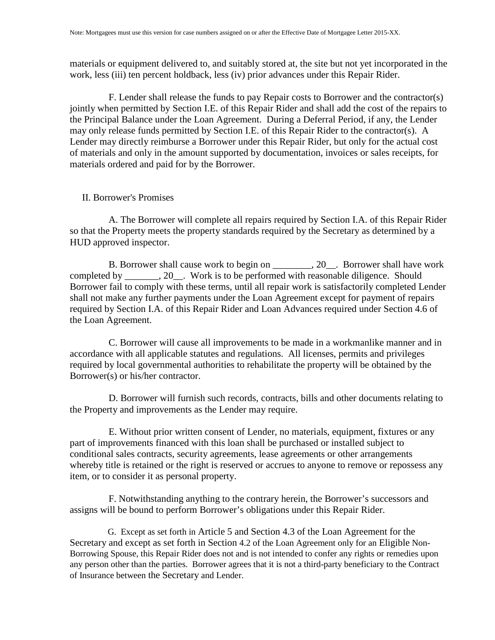materials or equipment delivered to, and suitably stored at, the site but not yet incorporated in the work, less (iii) ten percent holdback, less (iv) prior advances under this Repair Rider.

F. Lender shall release the funds to pay Repair costs to Borrower and the contractor(s) jointly when permitted by Section I.E. of this Repair Rider and shall add the cost of the repairs to the Principal Balance under the Loan Agreement. During a Deferral Period, if any, the Lender may only release funds permitted by Section I.E. of this Repair Rider to the contractor(s). A Lender may directly reimburse a Borrower under this Repair Rider, but only for the actual cost of materials and only in the amount supported by documentation, invoices or sales receipts, for materials ordered and paid for by the Borrower.

## II. Borrower's Promises

A. The Borrower will complete all repairs required by Section I.A. of this Repair Rider so that the Property meets the property standards required by the Secretary as determined by a HUD approved inspector.

B. Borrower shall cause work to begin on \_\_\_\_\_\_\_\_, 20\_\_. Borrower shall have work completed by \_\_\_\_\_\_\_, 20\_\_. Work is to be performed with reasonable diligence. Should Borrower fail to comply with these terms, until all repair work is satisfactorily completed Lender shall not make any further payments under the Loan Agreement except for payment of repairs required by Section I.A. of this Repair Rider and Loan Advances required under Section 4.6 of the Loan Agreement.

C. Borrower will cause all improvements to be made in a workmanlike manner and in accordance with all applicable statutes and regulations. All licenses, permits and privileges required by local governmental authorities to rehabilitate the property will be obtained by the Borrower(s) or his/her contractor.

D. Borrower will furnish such records, contracts, bills and other documents relating to the Property and improvements as the Lender may require.

E. Without prior written consent of Lender, no materials, equipment, fixtures or any part of improvements financed with this loan shall be purchased or installed subject to conditional sales contracts, security agreements, lease agreements or other arrangements whereby title is retained or the right is reserved or accrues to anyone to remove or repossess any item, or to consider it as personal property.

F. Notwithstanding anything to the contrary herein, the Borrower's successors and assigns will be bound to perform Borrower's obligations under this Repair Rider.

G. Except as set forth in Article 5 and Section 4.3 of the Loan Agreement for the Secretary and except as set forth in Section 4.2 of the Loan Agreement only for an Eligible Non-Borrowing Spouse, this Repair Rider does not and is not intended to confer any rights or remedies upon any person other than the parties. Borrower agrees that it is not a third-party beneficiary to the Contract of Insurance between the Secretary and Lender.